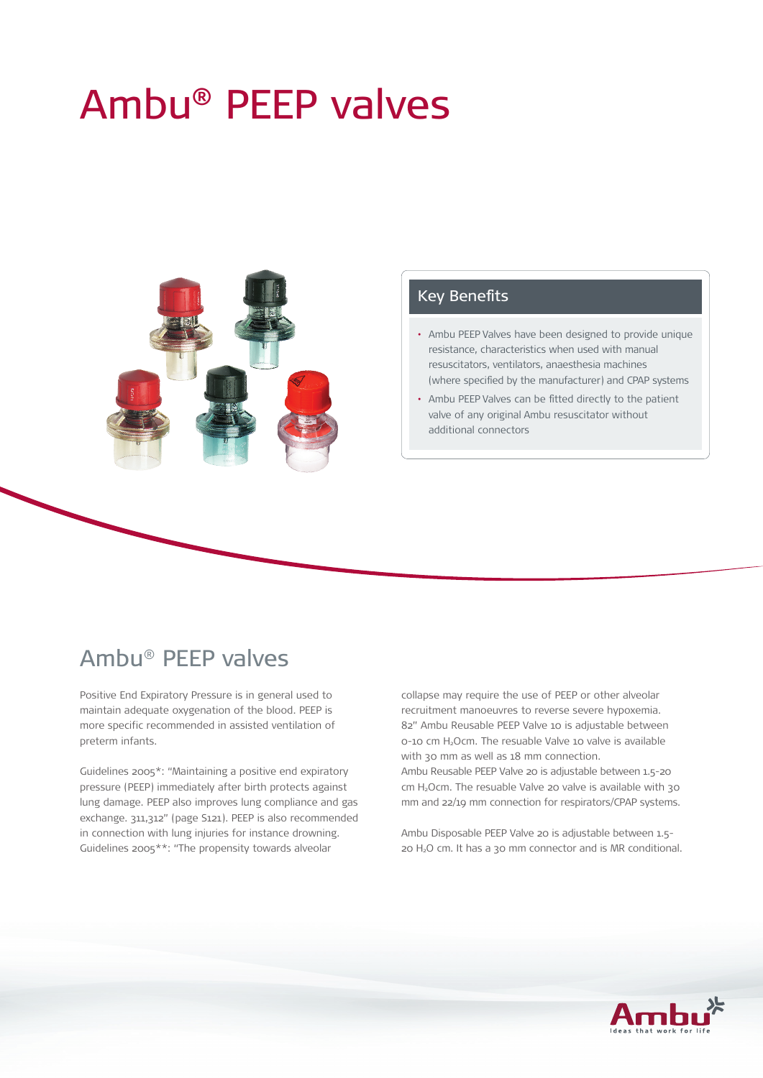# Ambu® PEEP valves



#### Key Benefits

- Ambu PEEP Valves have been designed to provide unique resistance, characteristics when used with manual resuscitators, ventilators, anaesthesia machines (where specified by the manufacturer) and CPAP systems
- Ambu PEEP Valves can be fitted directly to the patient valve of any original Ambu resuscitator without additional connectors

# Ambu® PEEP valves

Positive End Expiratory Pressure is in general used to maintain adequate oxygenation of the blood. PEEP is more specific recommended in assisted ventilation of preterm infants.

Guidelines 2005\*: "Maintaining a positive end expiratory pressure (PEEP) immediately after birth protects against lung damage. PEEP also improves lung compliance and gas exchange. 311,312" (page S121). PEEP is also recommended in connection with lung injuries for instance drowning. Guidelines 2005\*\*: "The propensity towards alveolar

collapse may require the use of PEEP or other alveolar recruitment manoeuvres to reverse severe hypoxemia. 82" Ambu Reusable PEEP Valve 10 is adjustable between 0-10 cm H2Ocm. The resuable Valve 10 valve is available with 30 mm as well as 18 mm connection.

Ambu Reusable PEEP Valve 20 is adjustable between 1.5-20 cm H<sub>2</sub>Ocm. The resuable Valve 20 valve is available with 30 mm and 22/19 mm connection for respirators/CPAP systems.

Ambu Disposable PEEP Valve 20 is adjustable between 1.5- 20 H2O cm. It has a 30 mm connector and is MR conditional.